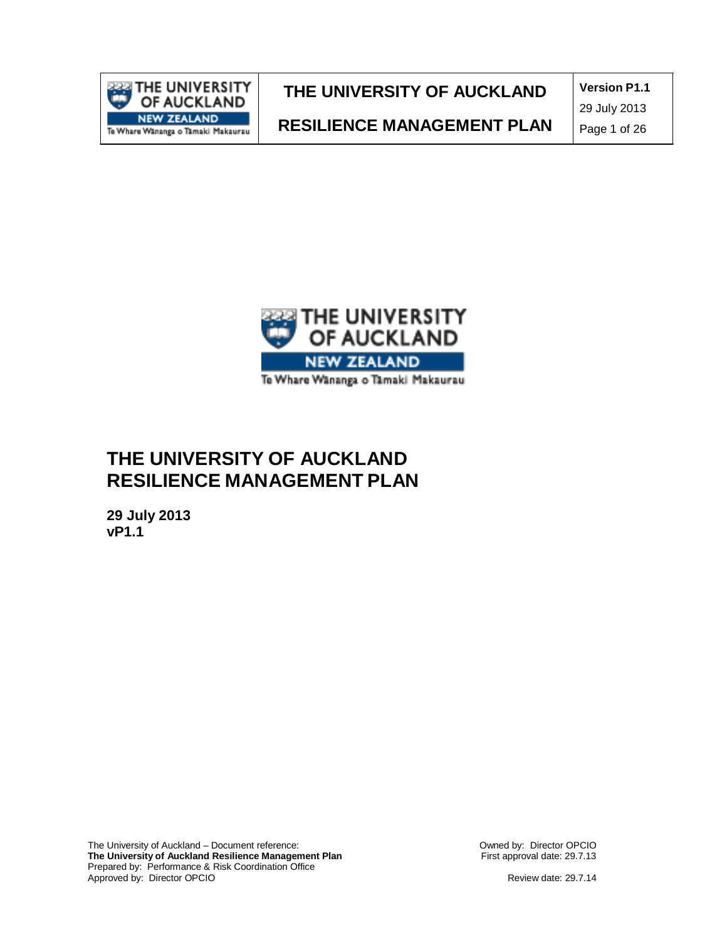

**Version P1.1**

**RESILIENCE MANAGEMENT PLAN**

29 July 2013

Page 1 of 26



# **THE UNIVERSITY OF AUCKLAND RESILIENCE MANAGEMENT PLAN**

**29 July 2013 vP1.1**

The University of Auckland – Document reference: **The University of Auckland Resilience Management Plan** Prepared by: Performance & Risk Coordination Office Approved by: Director OPCIO

Owned by: Director OPCIO First approval date: 29.7.13

Review date: 29.7.14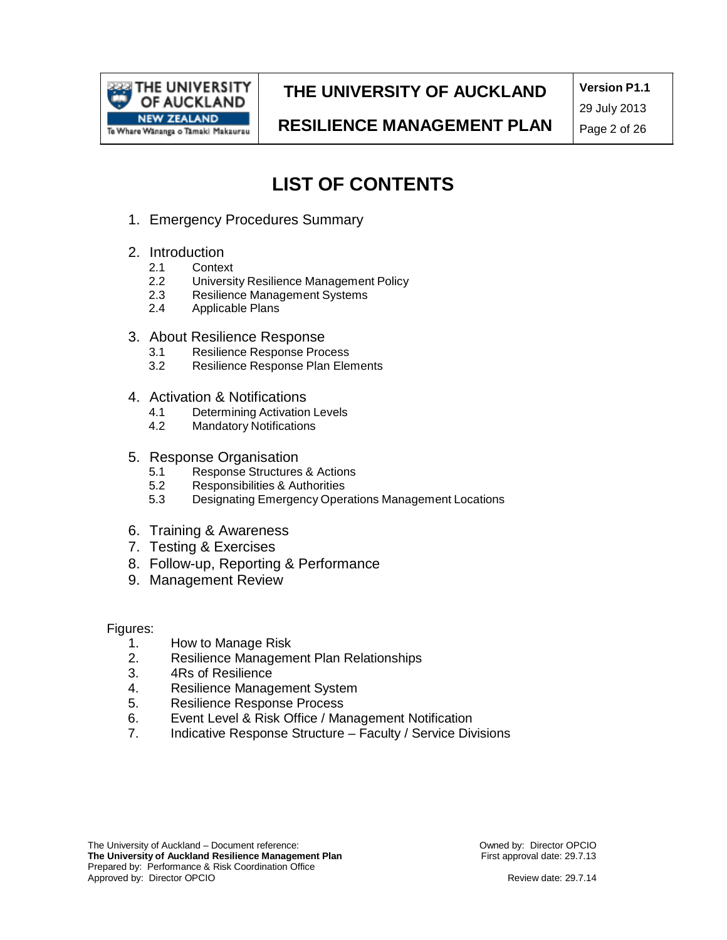

**Version P1.1**

**RESILIENCE MANAGEMENT PLAN**

29 July 2013 Page 2 of 26

# **LIST OF CONTENTS**

- 1. Emergency Procedures Summary
- 2. Introduction<br>2.1 Contex
	- 2.1 Context<br>2.2 Universit
	- 2.2 University Resilience Management Policy<br>2.3 Resilience Management Systems
	- 2.3 Resilience Management Systems<br>2.4 Applicable Plans
	- Applicable Plans
- 3. About Resilience Response<br>3.1 Resilience Response Proc
	- 3.1 Resilience Response Process<br>3.2 Resilience Response Plan Eler
	- Resilience Response Plan Elements
- 4. Activation & Notifications
	- 4.1 Determining Activation Levels
	- 4.2 Mandatory Notifications
- 5. Response Organisation
	- 5.1 Response Structures & Actions<br>5.2 Responsibilities & Authorities
	- Responsibilities & Authorities
	- 5.3 Designating Emergency Operations Management Locations
- 6. Training & Awareness
- 7. Testing & Exercises
- 8. Follow-up, Reporting & Performance
- 9. Management Review

Figures:

- 1. How to Manage Risk
- 2. Resilience Management Plan Relationships
- 3. 4Rs of Resilience
- 4. Resilience Management System
- 5. Resilience Response Process
- 6. Event Level & Risk Office / Management Notification
- 7. Indicative Response Structure Faculty / Service Divisions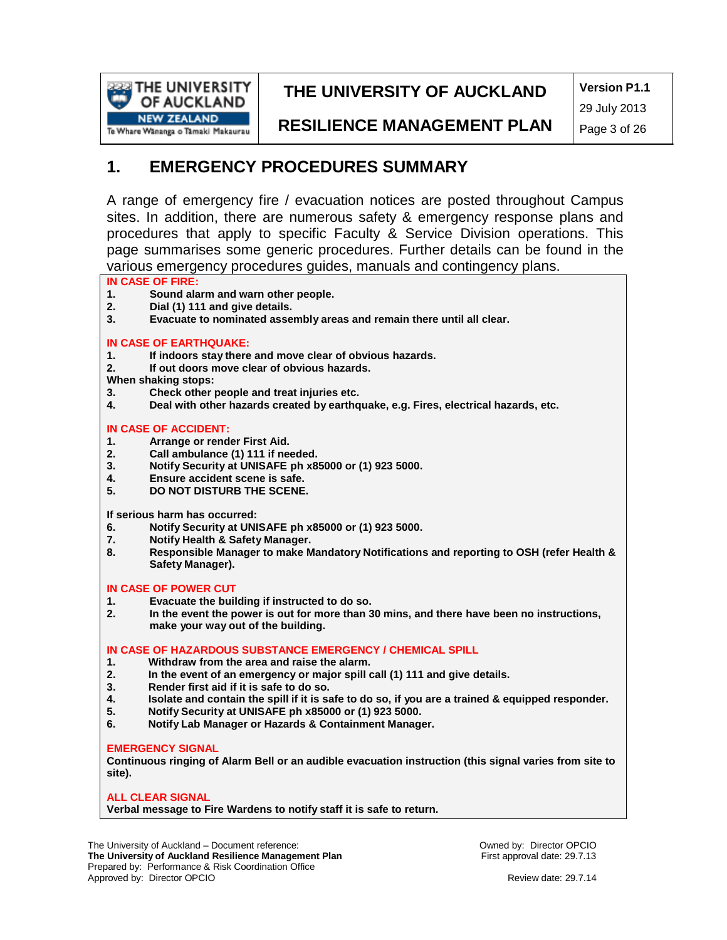

**Version P1.1** 29 July 2013

**RESILIENCE MANAGEMENT PLAN**

Page 3 of 26

### **1. EMERGENCY PROCEDURES SUMMARY**

A range of emergency fire / evacuation notices are posted throughout Campus sites. In addition, there are numerous safety & emergency response plans and procedures that apply to specific Faculty & Service Division operations. This page summarises some generic procedures. Further details can be found in the various emergency procedures guides, manuals and contingency plans.

# **IN CASE OF FIRE:**

- **1. Sound alarm and warn other people.**
- **2. Dial (1) 111 and give details.**
- **3. Evacuate to nominated assembly areas and remain there until all clear.**

#### **IN CASE OF EARTHQUAKE:**

- **1. If indoors stay there and move clear of obvious hazards.**
- **2. If out doors move clear of obvious hazards.**
- **When shaking stops:**
- **3. Check other people and treat injuries etc.**
- **4. Deal with other hazards created by earthquake, e.g. Fires, electrical hazards, etc.**

#### **IN CASE OF ACCIDENT:**

- **1. Arrange or render First Aid.**
- **2. Call ambulance (1) 111 if needed.**
- **3. Notify Security at UNISAFE ph x85000 or (1) 923 5000.**
- **4. Ensure accident scene is safe.**
- **5. DO NOT DISTURB THE SCENE.**

**If serious harm has occurred:**

- **6. Notify Security at UNISAFE ph x85000 or (1) 923 5000.**
- **7. Notify Health & Safety Manager.**
- **8. Responsible Manager to make Mandatory Notifications and reporting to OSH (refer Health & Safety Manager).**

#### **IN CASE OF POWER CUT**

- **1. Evacuate the building if instructed to do so.**
- **2. In the event the power is out for more than 30 mins, and there have been no instructions, make your way out of the building.**

#### **IN CASE OF HAZARDOUS SUBSTANCE EMERGENCY / CHEMICAL SPILL**

- **1. Withdraw from the area and raise the alarm.**
- **2. In the event of an emergency or major spill call (1) 111 and give details.**
- **3. Render first aid if it is safe to do so.**
- 4. Isolate and contain the spill if it is safe to do so, if you are a trained & equipped responder.<br>5. Notify Security at UNISAFE ph x85000 or (1) 923 5000.
- **5. Notify Security at UNISAFE ph x85000 or (1) 923 5000.**
- **6. Notify Lab Manager or Hazards & Containment Manager.**

#### **EMERGENCY SIGNAL**

**Continuous ringing of Alarm Bell or an audible evacuation instruction (this signal varies from site to site).**

#### **ALL CLEAR SIGNAL**

**Verbal message to Fire Wardens to notify staff it is safe to return.**

The University of Auckland – Document reference: **The University of Auckland Resilience Management Plan** Prepared by: Performance & Risk Coordination Office Approved by: Director OPCIO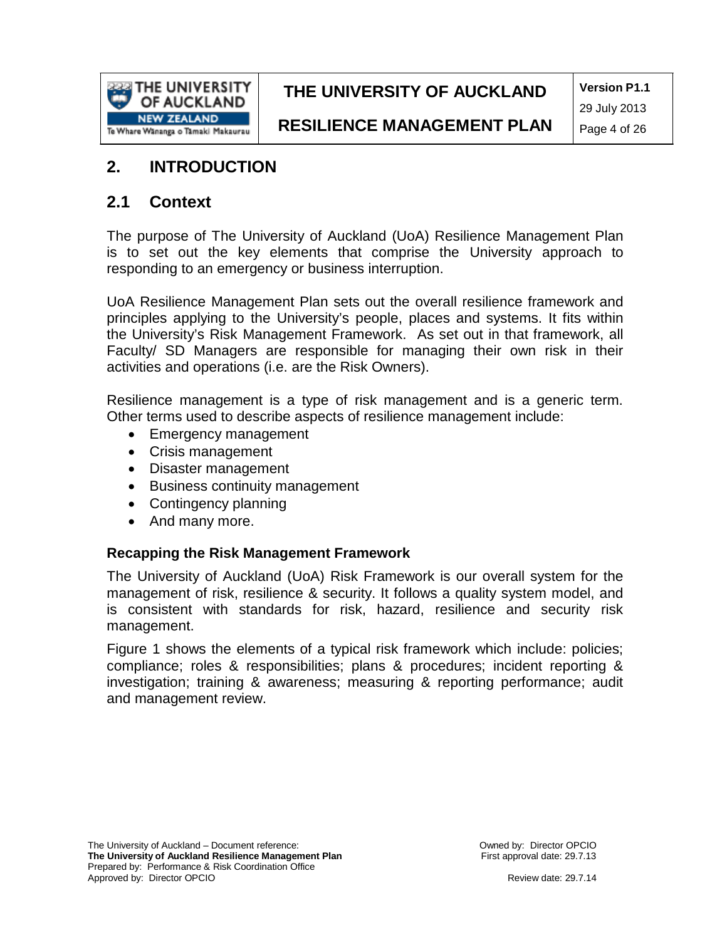

**Version P1.1** 29 July 2013

## **2. INTRODUCTION**

### **2.1 Context**

The purpose of The University of Auckland (UoA) Resilience Management Plan is to set out the key elements that comprise the University approach to responding to an emergency or business interruption.

UoA Resilience Management Plan sets out the overall resilience framework and principles applying to the University's people, places and systems. It fits within the University's Risk Management Framework. As set out in that framework, all Faculty/ SD Managers are responsible for managing their own risk in their activities and operations (i.e. are the Risk Owners).

Resilience management is a type of risk management and is a generic term. Other terms used to describe aspects of resilience management include:

- Emergency management
- Crisis management
- Disaster management
- Business continuity management
- Contingency planning
- And many more.

### **Recapping the Risk Management Framework**

The University of Auckland (UoA) Risk Framework is our overall system for the management of risk, resilience & security. It follows a quality system model, and is consistent with standards for risk, hazard, resilience and security risk management.

Figure 1 shows the elements of a typical risk framework which include: policies; compliance; roles & responsibilities; plans & procedures; incident reporting & investigation; training & awareness; measuring & reporting performance; audit and management review.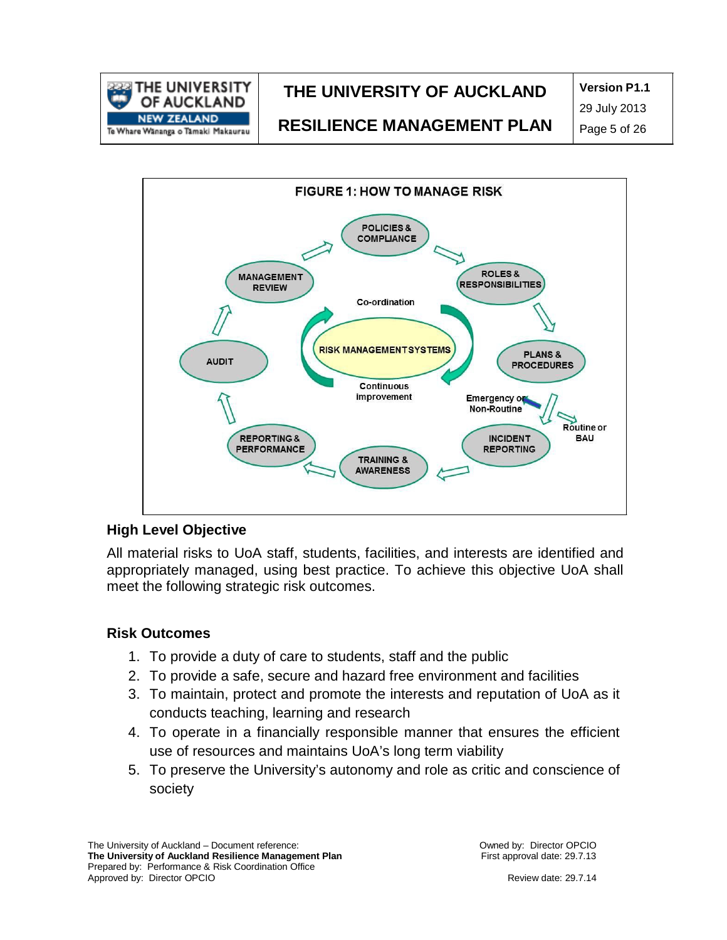

**Version P1.1**

**RESILIENCE MANAGEMENT PLAN**

29 July 2013 Page 5 of 26



#### **High Level Objective**

All material risks to UoA staff, students, facilities, and interests are identified and appropriately managed, using best practice. To achieve this objective UoA shall meet the following strategic risk outcomes.

#### **Risk Outcomes**

- 1. To provide a duty of care to students, staff and the public
- 2. To provide a safe, secure and hazard free environment and facilities
- 3. To maintain, protect and promote the interests and reputation of UoA as it conducts teaching, learning and research
- 4. To operate in a financially responsible manner that ensures the efficient use of resources and maintains UoA's long term viability
- 5. To preserve the University's autonomy and role as critic and conscience of society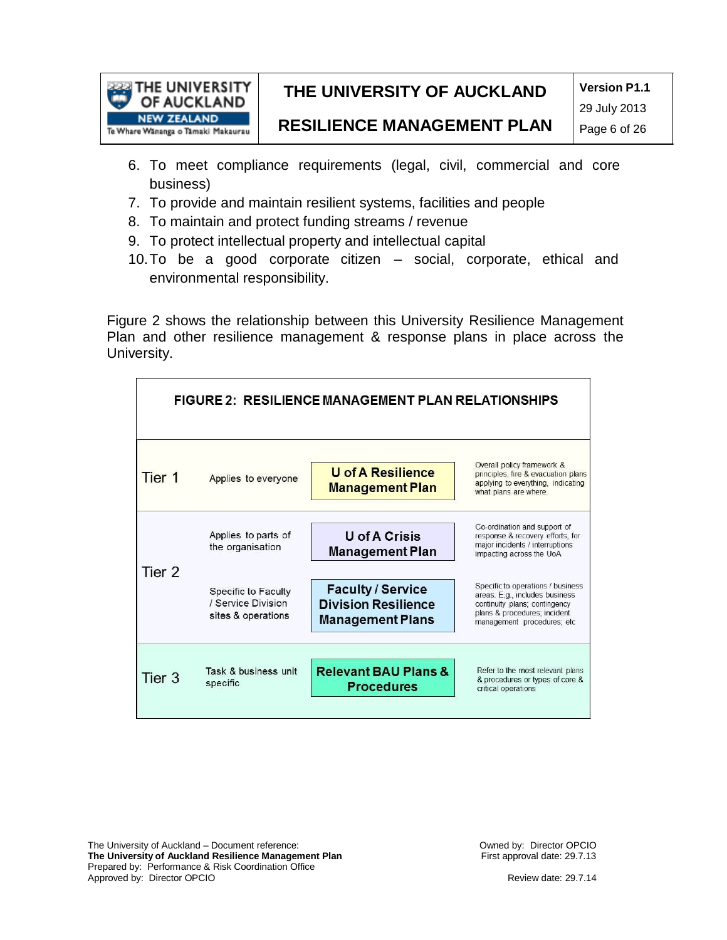

**Version P1.1**

**RESILIENCE MANAGEMENT PLAN**

- 6. To meet compliance requirements (legal, civil, commercial and core business)
- 7. To provide and maintain resilient systems, facilities and people
- 8. To maintain and protect funding streams / revenue
- 9. To protect intellectual property and intellectual capital
- 10.To be a good corporate citizen social, corporate, ethical and environmental responsibility.

Figure 2 shows the relationship between this University Resilience Management Plan and other resilience management & response plans in place across the University.

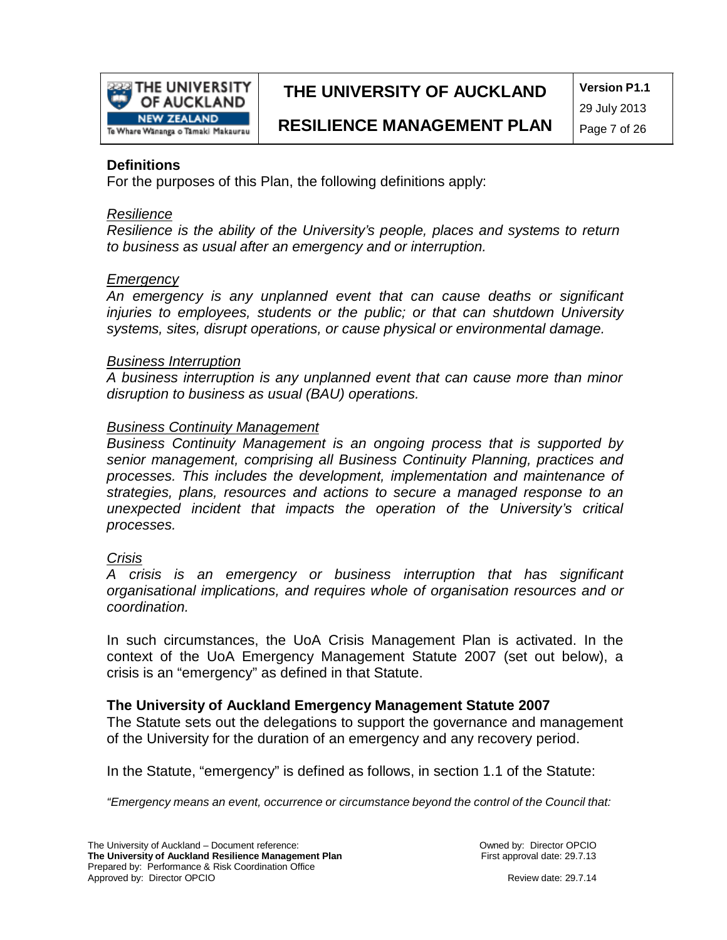

**Version P1.1** 29 July 2013

#### **Definitions**

For the purposes of this Plan, the following definitions apply:

#### *Resilience*

*Resilience is the ability of the University's people, places and systems to return to business as usual after an emergency and or interruption.*

#### *Emergency*

*An emergency is any unplanned event that can cause deaths or significant injuries to employees, students or the public; or that can shutdown University systems, sites, disrupt operations, or cause physical or environmental damage.*

#### *Business Interruption*

*A business interruption is any unplanned event that can cause more than minor disruption to business as usual (BAU) operations.*

#### *Business Continuity Management*

*Business Continuity Management is an ongoing process that is supported by senior management, comprising all Business Continuity Planning, practices and processes. This includes the development, implementation and maintenance of strategies, plans, resources and actions to secure a managed response to an unexpected incident that impacts the operation of the University's critical processes.*

#### *Crisis*

*A crisis is an emergency or business interruption that has significant organisational implications, and requires whole of organisation resources and or coordination.*

In such circumstances, the UoA Crisis Management Plan is activated. In the context of the UoA Emergency Management Statute 2007 (set out below), a crisis is an "emergency" as defined in that Statute.

#### **The University of Auckland Emergency Management Statute 2007**

The Statute sets out the delegations to support the governance and management of the University for the duration of an emergency and any recovery period.

In the Statute, "emergency" is defined as follows, in section 1.1 of the Statute:

*"Emergency means an event, occurrence or circumstance beyond the control of the Council that:*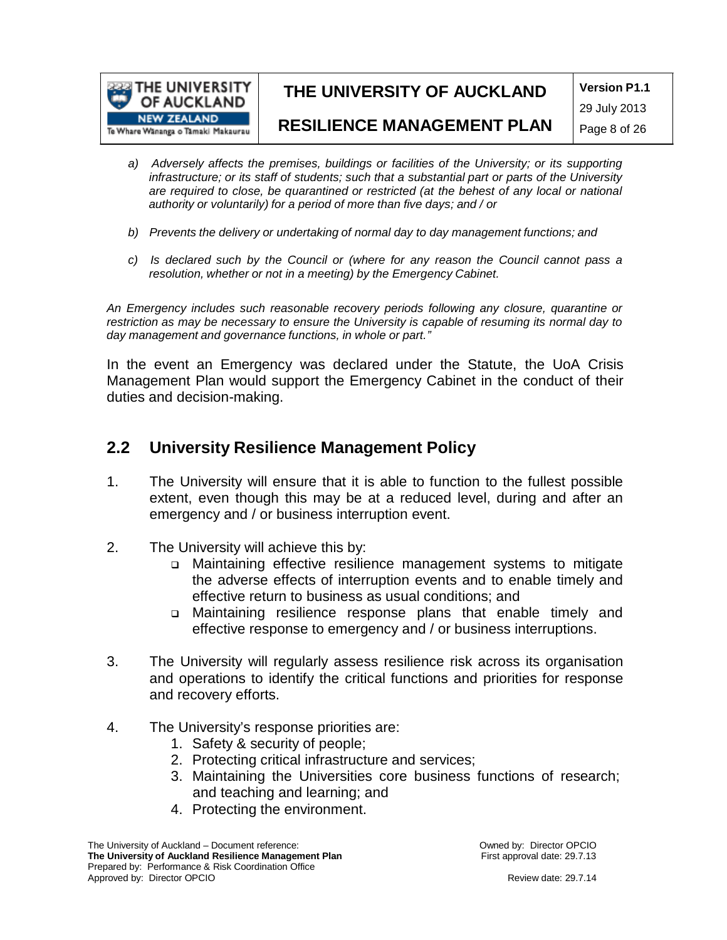

**Version P1.1**

29 July 2013

#### **RESILIENCE MANAGEMENT PLAN**

- Page 8 of 26
- *a) Adversely affects the premises, buildings or facilities of the University; or its supporting infrastructure; or its staff of students; such that a substantial part or parts of the University are required to close, be quarantined or restricted (at the behest of any local or national authority or voluntarily) for a period of more than five days; and / or*
- *b) Prevents the delivery or undertaking of normal day to day management functions; and*
- *c) Is declared such by the Council or (where for any reason the Council cannot pass a resolution, whether or not in a meeting) by the Emergency Cabinet.*

*An Emergency includes such reasonable recovery periods following any closure, quarantine or restriction as may be necessary to ensure the University is capable of resuming its normal day to day management and governance functions, in whole or part."*

In the event an Emergency was declared under the Statute, the UoA Crisis Management Plan would support the Emergency Cabinet in the conduct of their duties and decision-making.

### **2.2 University Resilience Management Policy**

- 1. The University will ensure that it is able to function to the fullest possible extent, even though this may be at a reduced level, during and after an emergency and / or business interruption event.
- 2. The University will achieve this by:
	- Maintaining effective resilience management systems to mitigate the adverse effects of interruption events and to enable timely and effective return to business as usual conditions; and
	- Maintaining resilience response plans that enable timely and effective response to emergency and / or business interruptions.
- 3. The University will regularly assess resilience risk across its organisation and operations to identify the critical functions and priorities for response and recovery efforts.
- 4. The University's response priorities are:
	- 1. Safety & security of people;
	- 2. Protecting critical infrastructure and services;
	- 3. Maintaining the Universities core business functions of research; and teaching and learning; and
	- 4. Protecting the environment.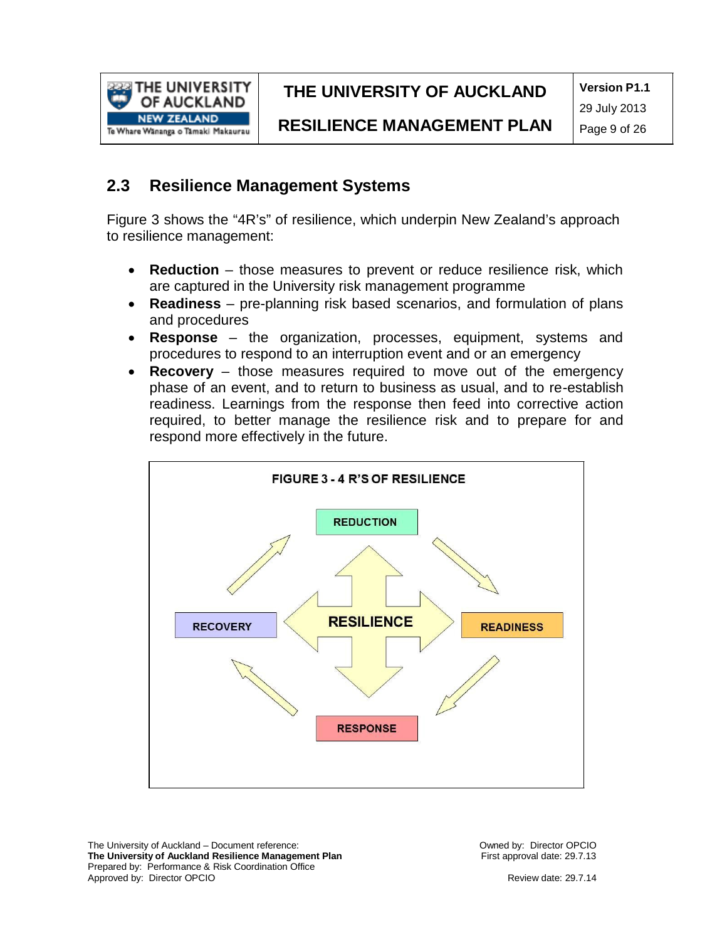

**Version P1.1**

**RESILIENCE MANAGEMENT PLAN**

29 July 2013 Page 9 of 26

### **2.3 Resilience Management Systems**

Figure 3 shows the "4R's" of resilience, which underpin New Zealand's approach to resilience management:

- **Reduction** those measures to prevent or reduce resilience risk, which are captured in the University risk management programme
- **Readiness** pre-planning risk based scenarios, and formulation of plans and procedures
- **Response**  the organization, processes, equipment, systems and procedures to respond to an interruption event and or an emergency
- **Recovery** those measures required to move out of the emergency phase of an event, and to return to business as usual, and to re-establish readiness. Learnings from the response then feed into corrective action required, to better manage the resilience risk and to prepare for and respond more effectively in the future.



The University of Auckland – Document reference: **The University of Auckland Resilience Management Plan** Prepared by: Performance & Risk Coordination Office Approved by: Director OPCIO

Owned by: Director OPCIO First approval date: 29.7.13

Review date: 29.7.14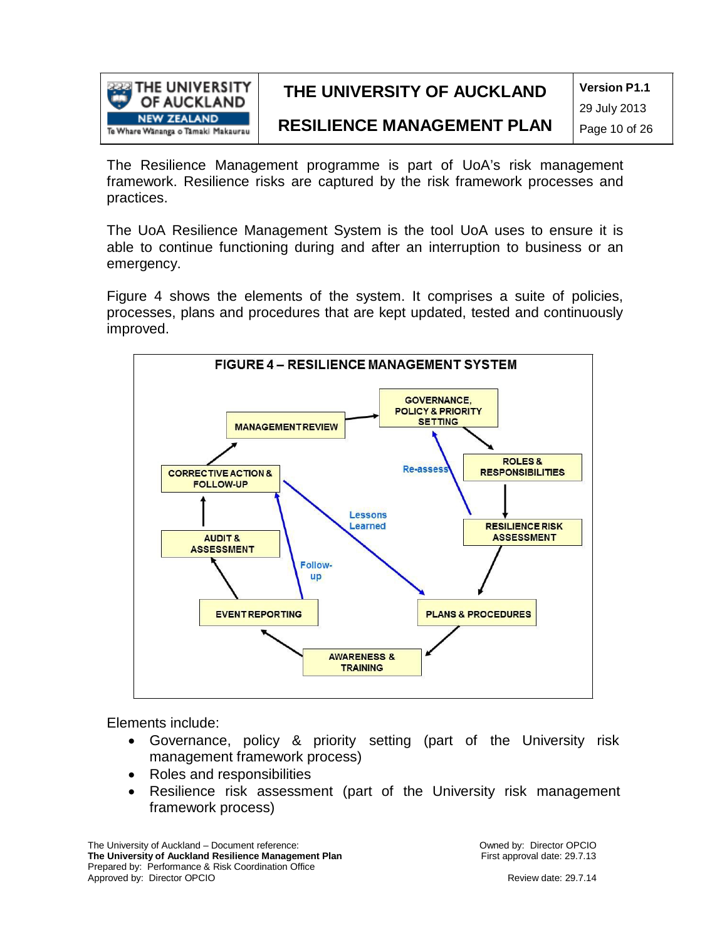

**Version P1.1**

29 July 2013

### **RESILIENCE MANAGEMENT PLAN**

Page 10 of 26

The Resilience Management programme is part of UoA's risk management framework. Resilience risks are captured by the risk framework processes and practices.

The UoA Resilience Management System is the tool UoA uses to ensure it is able to continue functioning during and after an interruption to business or an emergency.

Figure 4 shows the elements of the system. It comprises a suite of policies, processes, plans and procedures that are kept updated, tested and continuously improved.



Elements include:

- Governance, policy & priority setting (part of the University risk management framework process)
- Roles and responsibilities
- Resilience risk assessment (part of the University risk management framework process)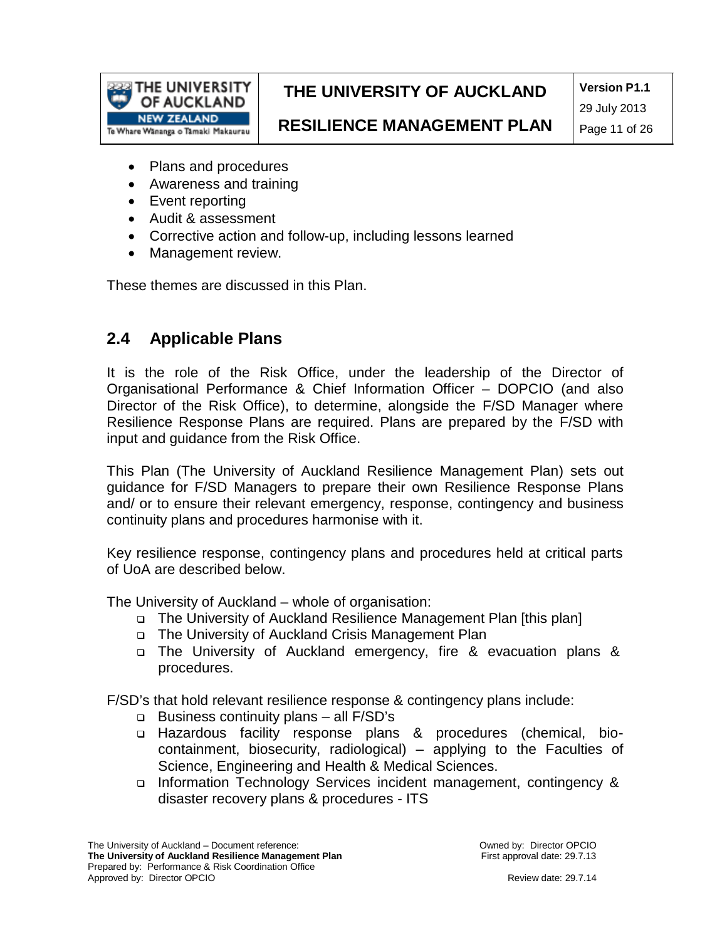

**Version P1.1** 29 July 2013

**RESILIENCE MANAGEMENT PLAN**

Page 11 of 26

- Plans and procedures
- Awareness and training
- Event reporting
- Audit & assessment
- Corrective action and follow-up, including lessons learned
- Management review.

These themes are discussed in this Plan.

### **2.4 Applicable Plans**

It is the role of the Risk Office, under the leadership of the Director of Organisational Performance & Chief Information Officer – DOPCIO (and also Director of the Risk Office), to determine, alongside the F/SD Manager where Resilience Response Plans are required. Plans are prepared by the F/SD with input and guidance from the Risk Office.

This Plan (The University of Auckland Resilience Management Plan) sets out guidance for F/SD Managers to prepare their own Resilience Response Plans and/ or to ensure their relevant emergency, response, contingency and business continuity plans and procedures harmonise with it.

Key resilience response, contingency plans and procedures held at critical parts of UoA are described below.

The University of Auckland – whole of organisation:

- The University of Auckland Resilience Management Plan [this plan]
- The University of Auckland Crisis Management Plan
- The University of Auckland emergency, fire & evacuation plans & procedures.

F/SD's that hold relevant resilience response & contingency plans include:

- Business continuity plans all F/SD's
- Hazardous facility response plans & procedures (chemical, biocontainment, biosecurity, radiological) – applying to the Faculties of Science, Engineering and Health & Medical Sciences.
- Information Technology Services incident management, contingency & disaster recovery plans & procedures - ITS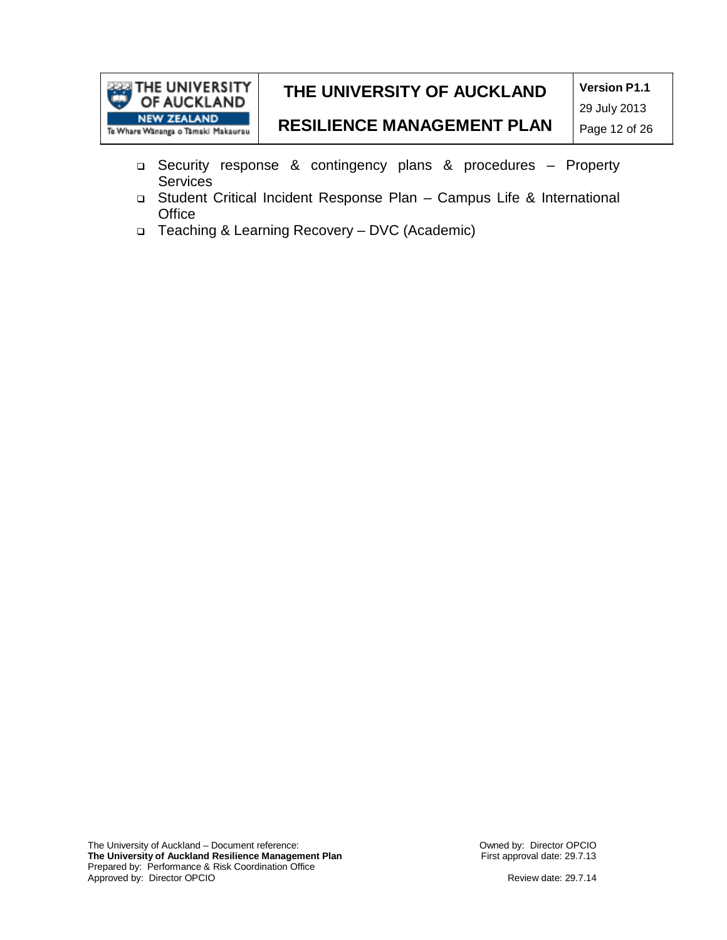

**Version P1.1** 29 July 2013

## **RESILIENCE MANAGEMENT PLAN**

Page 12 of 26

- Security response & contingency plans & procedures Property **Services**
- Student Critical Incident Response Plan Campus Life & International **Office**
- Teaching & Learning Recovery DVC (Academic)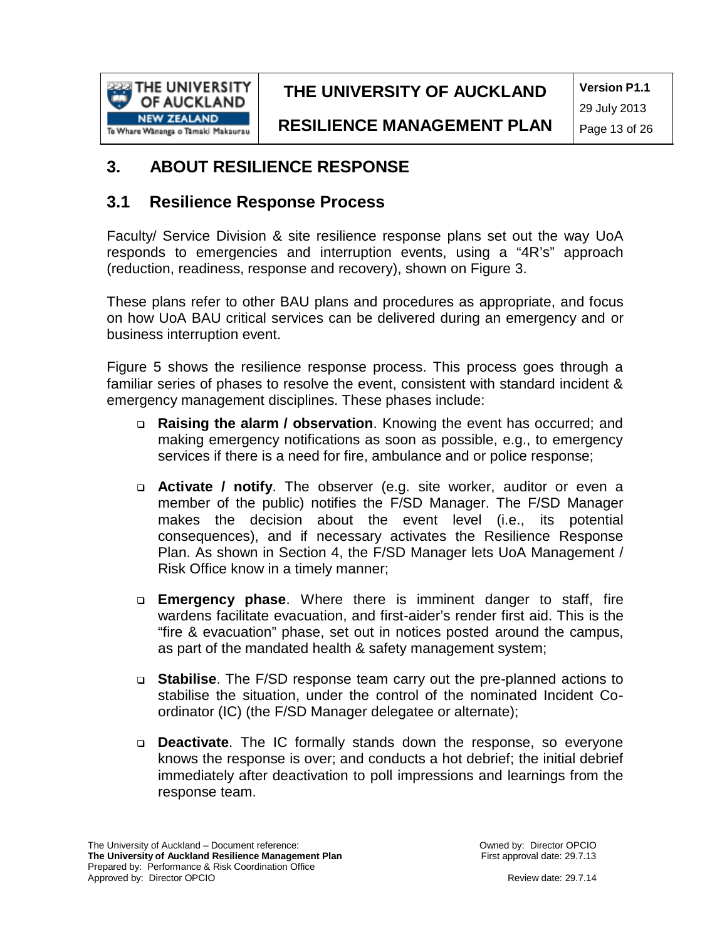

**Version P1.1** 29 July 2013

**RESILIENCE MANAGEMENT PLAN**

### **3. ABOUT RESILIENCE RESPONSE**

### **3.1 Resilience Response Process**

Faculty/ Service Division & site resilience response plans set out the way UoA responds to emergencies and interruption events, using a "4R's" approach (reduction, readiness, response and recovery), shown on Figure 3.

These plans refer to other BAU plans and procedures as appropriate, and focus on how UoA BAU critical services can be delivered during an emergency and or business interruption event.

Figure 5 shows the resilience response process. This process goes through a familiar series of phases to resolve the event, consistent with standard incident & emergency management disciplines. These phases include:

- **Raising the alarm / observation**. Knowing the event has occurred; and making emergency notifications as soon as possible, e.g., to emergency services if there is a need for fire, ambulance and or police response;
- **Activate / notify**. The observer (e.g. site worker, auditor or even a member of the public) notifies the F/SD Manager. The F/SD Manager makes the decision about the event level (i.e., its potential consequences), and if necessary activates the Resilience Response Plan. As shown in Section 4, the F/SD Manager lets UoA Management / Risk Office know in a timely manner;
- **Emergency phase**. Where there is imminent danger to staff, fire wardens facilitate evacuation, and first-aider's render first aid. This is the "fire & evacuation" phase, set out in notices posted around the campus, as part of the mandated health & safety management system;
- **Stabilise**. The F/SD response team carry out the pre-planned actions to stabilise the situation, under the control of the nominated Incident Coordinator (IC) (the F/SD Manager delegatee or alternate);
- **Deactivate**. The IC formally stands down the response, so everyone knows the response is over; and conducts a hot debrief; the initial debrief immediately after deactivation to poll impressions and learnings from the response team.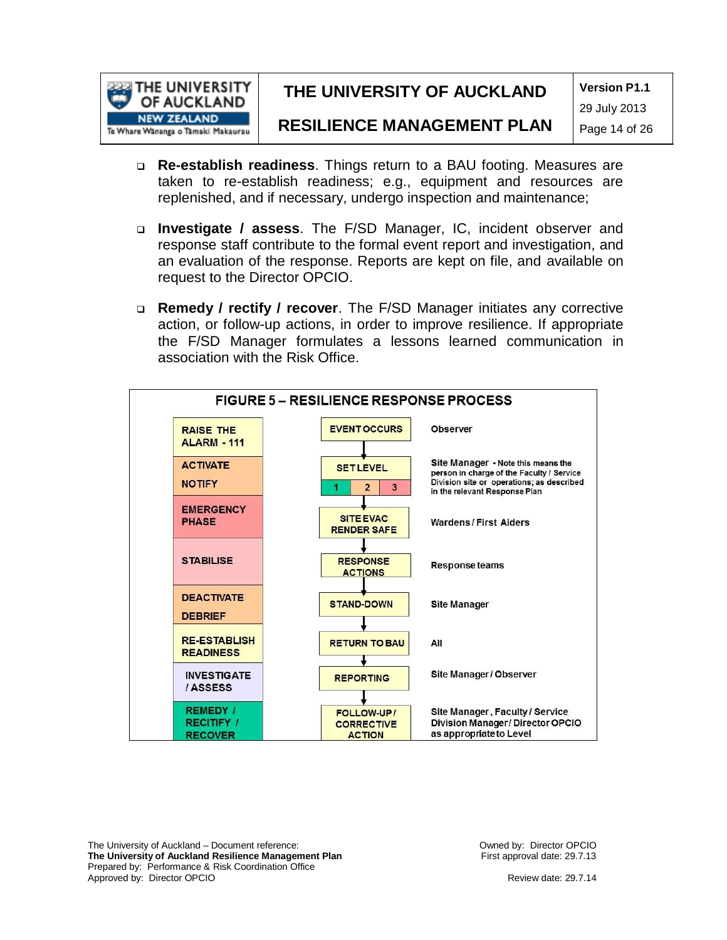

**Version P1.1**

#### **RESILIENCE MANAGEMENT PLAN**

29 July 2013 Page 14 of 26

- **Re-establish readiness**. Things return to a BAU footing. Measures are taken to re-establish readiness; e.g., equipment and resources are replenished, and if necessary, undergo inspection and maintenance;
- **Investigate / assess**. The F/SD Manager, IC, incident observer and response staff contribute to the formal event report and investigation, and an evaluation of the response. Reports are kept on file, and available on request to the Director OPCIO.
- **Remedy / rectify / recover**. The F/SD Manager initiates any corrective action, or follow-up actions, in order to improve resilience. If appropriate the F/SD Manager formulates a lessons learned communication in association with the Risk Office.



The University of Auckland – Document reference: **The University of Auckland Resilience Management Plan** Prepared by: Performance & Risk Coordination Office Approved by: Director OPCIO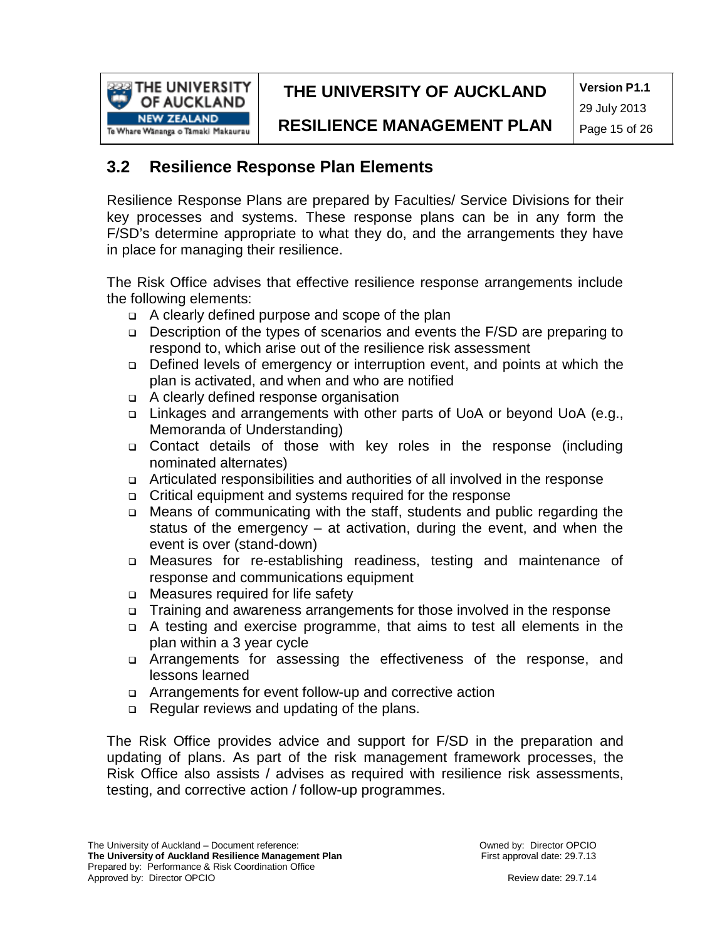

**Version P1.1** 29 July 2013

**RESILIENCE MANAGEMENT PLAN**

### **3.2 Resilience Response Plan Elements**

Resilience Response Plans are prepared by Faculties/ Service Divisions for their key processes and systems. These response plans can be in any form the F/SD's determine appropriate to what they do, and the arrangements they have in place for managing their resilience.

The Risk Office advises that effective resilience response arrangements include the following elements:

- A clearly defined purpose and scope of the plan
- Description of the types of scenarios and events the F/SD are preparing to respond to, which arise out of the resilience risk assessment
- Defined levels of emergency or interruption event, and points at which the plan is activated, and when and who are notified
- A clearly defined response organisation
- □ Linkages and arrangements with other parts of UoA or beyond UoA (e.g., Memoranda of Understanding)
- Contact details of those with key roles in the response (including nominated alternates)
- Articulated responsibilities and authorities of all involved in the response
- Critical equipment and systems required for the response
- Means of communicating with the staff, students and public regarding the status of the emergency – at activation, during the event, and when the event is over (stand-down)
- Measures for re-establishing readiness, testing and maintenance of response and communications equipment
- □ Measures required for life safety
- Training and awareness arrangements for those involved in the response
- A testing and exercise programme, that aims to test all elements in the plan within a 3 year cycle
- Arrangements for assessing the effectiveness of the response, and lessons learned
- Arrangements for event follow-up and corrective action
- □ Regular reviews and updating of the plans.

The Risk Office provides advice and support for F/SD in the preparation and updating of plans. As part of the risk management framework processes, the Risk Office also assists / advises as required with resilience risk assessments, testing, and corrective action / follow-up programmes.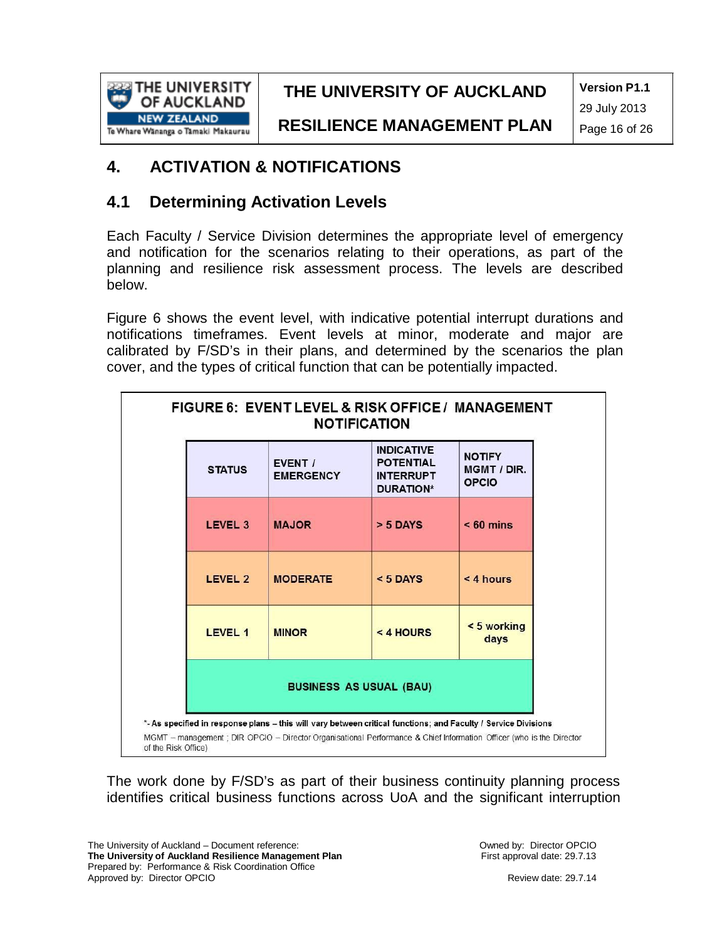

**Version P1.1** 29 July 2013

**RESILIENCE MANAGEMENT PLAN**

### **4. ACTIVATION & NOTIFICATIONS**

### **4.1 Determining Activation Levels**

Each Faculty / Service Division determines the appropriate level of emergency and notification for the scenarios relating to their operations, as part of the planning and resilience risk assessment process. The levels are described below.

Figure 6 shows the event level, with indicative potential interrupt durations and notifications timeframes. Event levels at minor, moderate and major are calibrated by F/SD's in their plans, and determined by the scenarios the plan cover, and the types of critical function that can be potentially impacted.

|                     |                                | FIGURE 6: EVENT LEVEL & RISK OFFICE / MANAGEMENT<br><b>NOTIFICATION</b>                                                                                                                                                                |                                                                               |                                              |  |  |  |
|---------------------|--------------------------------|----------------------------------------------------------------------------------------------------------------------------------------------------------------------------------------------------------------------------------------|-------------------------------------------------------------------------------|----------------------------------------------|--|--|--|
|                     | <b>STATUS</b>                  | EVENT /<br><b>EMERGENCY</b>                                                                                                                                                                                                            | <b>INDICATIVE</b><br><b>POTENTIAL</b><br><b>INTERRUPT</b><br><b>DURATION*</b> | <b>NOTIFY</b><br>MGMT / DIR.<br><b>OPCIO</b> |  |  |  |
|                     | LEVEL 3                        | <b>MAJOR</b>                                                                                                                                                                                                                           | $> 5$ DAYS                                                                    | $< 60$ mins                                  |  |  |  |
|                     | LEVEL 2                        | <b>MODERATE</b>                                                                                                                                                                                                                        | $< 5$ DAYS                                                                    | $< 4$ hours                                  |  |  |  |
|                     | LEVEL 1                        | <b>MINOR</b>                                                                                                                                                                                                                           | $<$ 4 HOURS                                                                   | < 5 working<br>days                          |  |  |  |
|                     | <b>BUSINESS AS USUAL (BAU)</b> |                                                                                                                                                                                                                                        |                                                                               |                                              |  |  |  |
| of the Risk Office) |                                | *- As specified in response plans - this will vary between critical functions; and Faculty / Service Divisions<br>MGMT - management ; DIR OPCIO - Director Organisational Performance & Chief Information Officer (who is the Director |                                                                               |                                              |  |  |  |

The work done by F/SD's as part of their business continuity planning process identifies critical business functions across UoA and the significant interruption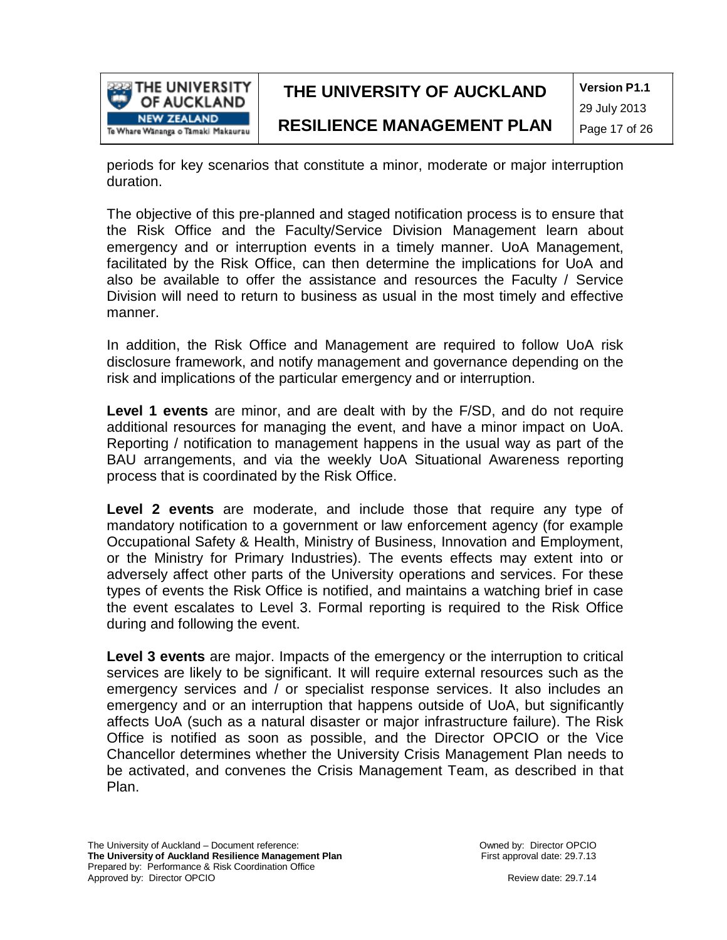

**Version P1.1** 29 July 2013

periods for key scenarios that constitute a minor, moderate or major interruption duration.

The objective of this pre-planned and staged notification process is to ensure that the Risk Office and the Faculty/Service Division Management learn about emergency and or interruption events in a timely manner. UoA Management, facilitated by the Risk Office, can then determine the implications for UoA and also be available to offer the assistance and resources the Faculty / Service Division will need to return to business as usual in the most timely and effective manner.

In addition, the Risk Office and Management are required to follow UoA risk disclosure framework, and notify management and governance depending on the risk and implications of the particular emergency and or interruption.

**Level 1 events** are minor, and are dealt with by the F/SD, and do not require additional resources for managing the event, and have a minor impact on UoA. Reporting / notification to management happens in the usual way as part of the BAU arrangements, and via the weekly UoA Situational Awareness reporting process that is coordinated by the Risk Office.

**Level 2 events** are moderate, and include those that require any type of mandatory notification to a government or law enforcement agency (for example Occupational Safety & Health, Ministry of Business, Innovation and Employment, or the Ministry for Primary Industries). The events effects may extent into or adversely affect other parts of the University operations and services. For these types of events the Risk Office is notified, and maintains a watching brief in case the event escalates to Level 3. Formal reporting is required to the Risk Office during and following the event.

**Level 3 events** are major. Impacts of the emergency or the interruption to critical services are likely to be significant. It will require external resources such as the emergency services and / or specialist response services. It also includes an emergency and or an interruption that happens outside of UoA, but significantly affects UoA (such as a natural disaster or major infrastructure failure). The Risk Office is notified as soon as possible, and the Director OPCIO or the Vice Chancellor determines whether the University Crisis Management Plan needs to be activated, and convenes the Crisis Management Team, as described in that Plan.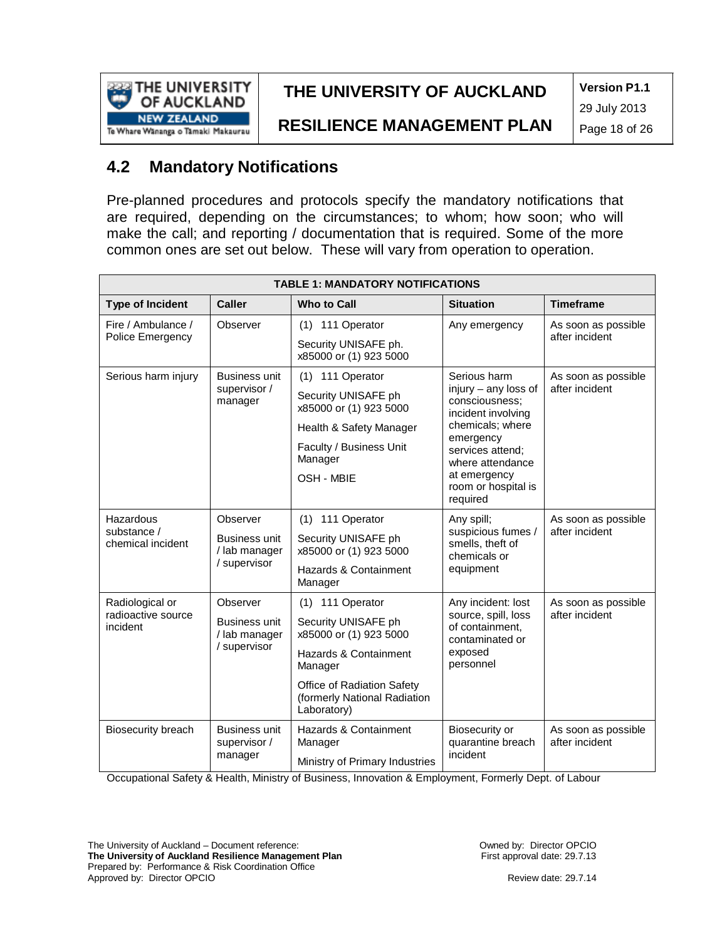

**Version P1.1** 29 July 2013

**RESILIENCE MANAGEMENT PLAN**

Page 18 of 26

## **4.2 Mandatory Notifications**

Pre-planned procedures and protocols specify the mandatory notifications that are required, depending on the circumstances; to whom; how soon; who will make the call; and reporting / documentation that is required. Some of the more common ones are set out below. These will vary from operation to operation.

| <b>TABLE 1: MANDATORY NOTIFICATIONS</b> |                                                       |                                                                           |                                                                                                                                                                                                            |                                       |  |  |  |  |
|-----------------------------------------|-------------------------------------------------------|---------------------------------------------------------------------------|------------------------------------------------------------------------------------------------------------------------------------------------------------------------------------------------------------|---------------------------------------|--|--|--|--|
| <b>Type of Incident</b>                 | <b>Caller</b>                                         | <b>Who to Call</b>                                                        | <b>Situation</b>                                                                                                                                                                                           | <b>Timeframe</b>                      |  |  |  |  |
| Fire / Ambulance /<br>Police Emergency  | Observer                                              | (1) 111 Operator<br>Security UNISAFE ph.                                  | Any emergency                                                                                                                                                                                              | As soon as possible<br>after incident |  |  |  |  |
|                                         |                                                       | x85000 or (1) 923 5000                                                    |                                                                                                                                                                                                            |                                       |  |  |  |  |
| Serious harm injury                     | <b>Business unit</b><br>supervisor /<br>manager       | $(1)$ 111 Operator                                                        | Serious harm<br>injury $-$ any loss of<br>consciousness;<br>incident involving<br>chemicals; where<br>emergency<br>services attend;<br>where attendance<br>at emergency<br>room or hospital is<br>required | As soon as possible<br>after incident |  |  |  |  |
|                                         |                                                       | Security UNISAFE ph<br>x85000 or (1) 923 5000                             |                                                                                                                                                                                                            |                                       |  |  |  |  |
|                                         |                                                       | Health & Safety Manager                                                   |                                                                                                                                                                                                            |                                       |  |  |  |  |
|                                         |                                                       | Faculty / Business Unit<br>Manager                                        |                                                                                                                                                                                                            |                                       |  |  |  |  |
|                                         |                                                       | OSH - MBIE                                                                |                                                                                                                                                                                                            |                                       |  |  |  |  |
| Hazardous                               | Observer                                              | (1) 111 Operator                                                          | Any spill;<br>suspicious fumes /<br>smells, theft of<br>chemicals or<br>equipment                                                                                                                          | As soon as possible<br>after incident |  |  |  |  |
| substance /<br>chemical incident        | Business unit<br>/ lab manager<br>/ supervisor        | Security UNISAFE ph<br>x85000 or (1) 923 5000                             |                                                                                                                                                                                                            |                                       |  |  |  |  |
|                                         |                                                       | Hazards & Containment<br>Manager                                          |                                                                                                                                                                                                            |                                       |  |  |  |  |
| Radiological or                         | Observer                                              | (1) 111 Operator                                                          | Any incident: lost                                                                                                                                                                                         | As soon as possible<br>after incident |  |  |  |  |
| radioactive source<br>incident          | <b>Business unit</b><br>/ lab manager<br>/ supervisor | Security UNISAFE ph<br>x85000 or (1) 923 5000                             | source, spill, loss<br>of containment.<br>contaminated or                                                                                                                                                  |                                       |  |  |  |  |
|                                         |                                                       | Hazards & Containment<br>Manager                                          | exposed<br>personnel                                                                                                                                                                                       |                                       |  |  |  |  |
|                                         |                                                       | Office of Radiation Safety<br>(formerly National Radiation<br>Laboratory) |                                                                                                                                                                                                            |                                       |  |  |  |  |
| Biosecurity breach                      | <b>Business unit</b><br>supervisor /<br>manager       | Hazards & Containment<br>Manager                                          | Biosecurity or<br>quarantine breach                                                                                                                                                                        | As soon as possible<br>after incident |  |  |  |  |
|                                         |                                                       | Ministry of Primary Industries                                            | incident                                                                                                                                                                                                   |                                       |  |  |  |  |

Occupational Safety & Health, Ministry of Business, Innovation & Employment, Formerly Dept. of Labour

The University of Auckland – Document reference: **The University of Auckland Resilience Management Plan** Prepared by: Performance & Risk Coordination Office Approved by: Director OPCIO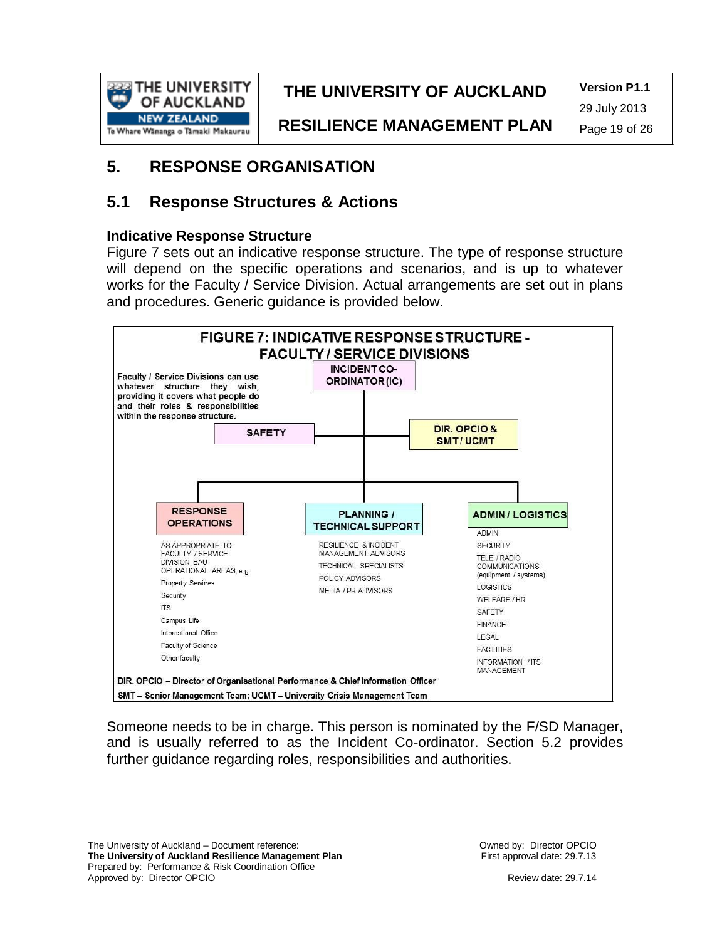

**Version P1.1**

**RESILIENCE MANAGEMENT PLAN**

29 July 2013 Page 19 of 26

### **5. RESPONSE ORGANISATION**

### **5.1 Response Structures & Actions**

#### **Indicative Response Structure**

Figure 7 sets out an indicative response structure. The type of response structure will depend on the specific operations and scenarios, and is up to whatever works for the Faculty / Service Division. Actual arrangements are set out in plans and procedures. Generic guidance is provided below.



Someone needs to be in charge. This person is nominated by the F/SD Manager, and is usually referred to as the Incident Co-ordinator. Section 5.2 provides further guidance regarding roles, responsibilities and authorities.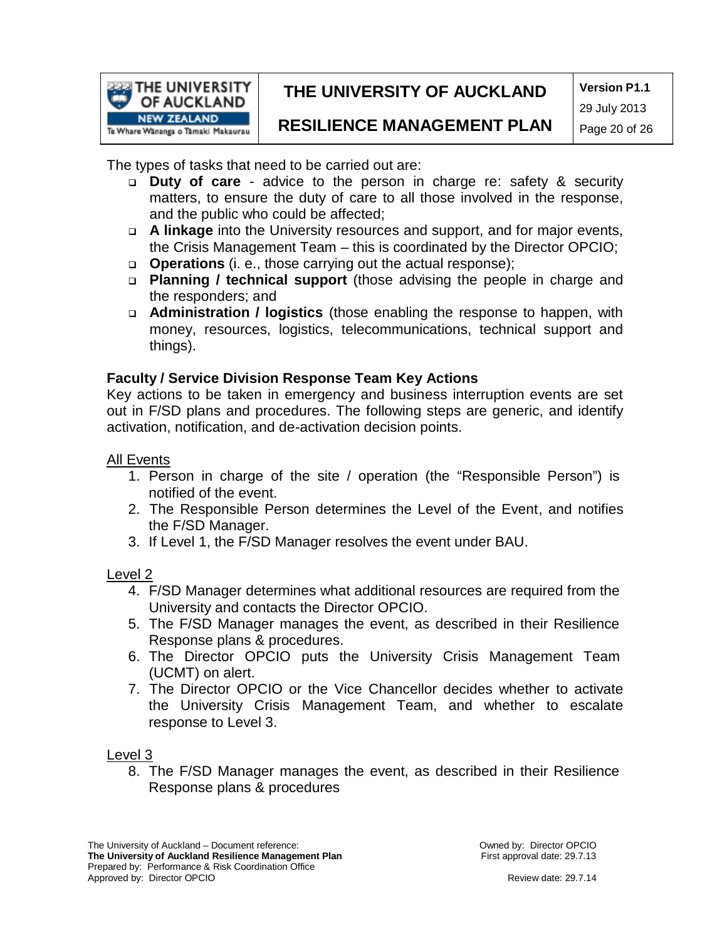

**Version P1.1** 29 July 2013

### **RESILIENCE MANAGEMENT PLAN**

Page 20 of 26

The types of tasks that need to be carried out are:

- **Duty of care**  advice to the person in charge re: safety & security matters, to ensure the duty of care to all those involved in the response, and the public who could be affected;
- **A linkage** into the University resources and support, and for major events, the Crisis Management Team – this is coordinated by the Director OPCIO;
- **Operations** (i. e., those carrying out the actual response);
- **Planning / technical support** (those advising the people in charge and the responders; and
- **Administration / logistics** (those enabling the response to happen, with money, resources, logistics, telecommunications, technical support and things).

#### **Faculty / Service Division Response Team Key Actions**

Key actions to be taken in emergency and business interruption events are set out in F/SD plans and procedures. The following steps are generic, and identify activation, notification, and de-activation decision points.

#### All Events

- 1. Person in charge of the site / operation (the "Responsible Person") is notified of the event.
- 2. The Responsible Person determines the Level of the Event, and notifies the F/SD Manager.
- 3. If Level 1, the F/SD Manager resolves the event under BAU.

#### Level 2

- 4. F/SD Manager determines what additional resources are required from the University and contacts the Director OPCIO.
- 5. The F/SD Manager manages the event, as described in their Resilience Response plans & procedures.
- 6. The Director OPCIO puts the University Crisis Management Team (UCMT) on alert.
- 7. The Director OPCIO or the Vice Chancellor decides whether to activate the University Crisis Management Team, and whether to escalate response to Level 3.

#### Level 3

8. The F/SD Manager manages the event, as described in their Resilience Response plans & procedures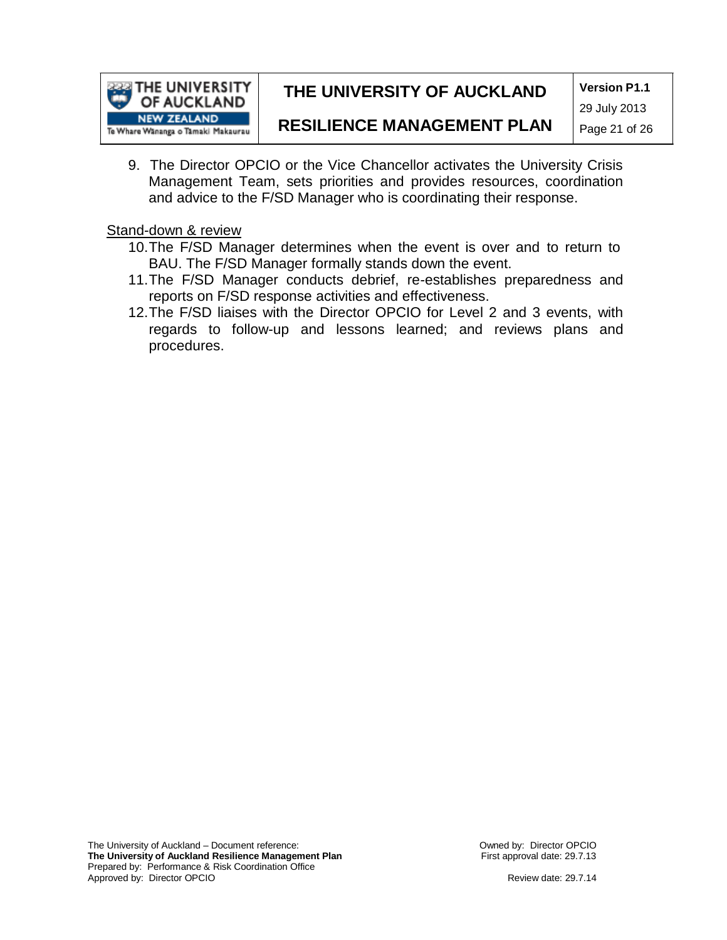

**Version P1.1**

29 July 2013

### **RESILIENCE MANAGEMENT PLAN**

Page 21 of 26

9. The Director OPCIO or the Vice Chancellor activates the University Crisis Management Team, sets priorities and provides resources, coordination and advice to the F/SD Manager who is coordinating their response.

Stand-down & review

- 10.The F/SD Manager determines when the event is over and to return to BAU. The F/SD Manager formally stands down the event.
- 11.The F/SD Manager conducts debrief, re-establishes preparedness and reports on F/SD response activities and effectiveness.
- 12.The F/SD liaises with the Director OPCIO for Level 2 and 3 events, with regards to follow-up and lessons learned; and reviews plans and procedures.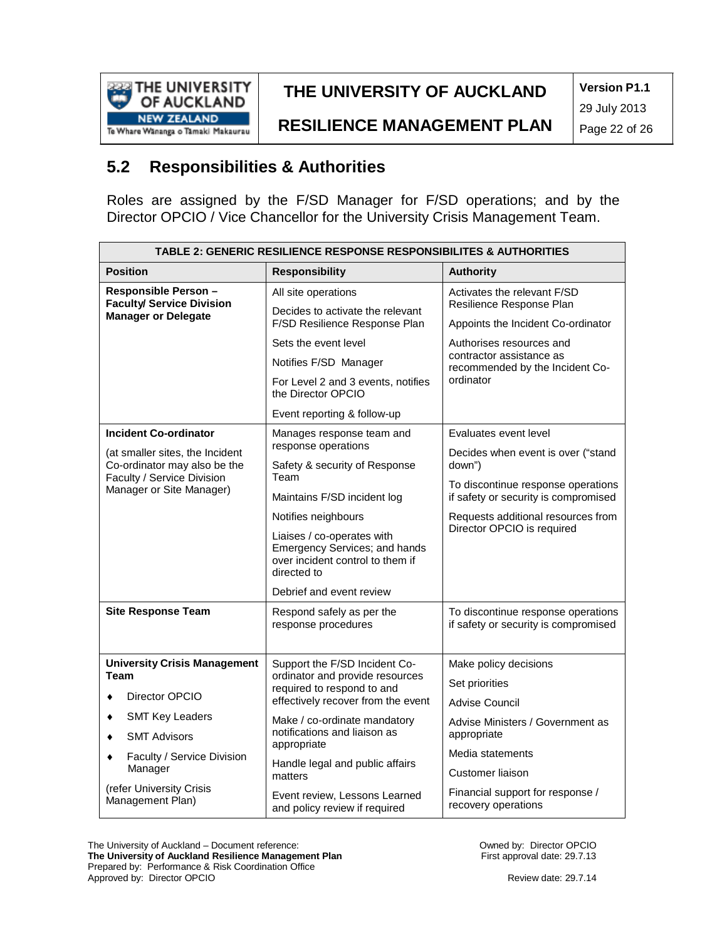

**Version P1.1**

**RESILIENCE MANAGEMENT PLAN**

29 July 2013 Page 22 of 26

## **5.2 Responsibilities & Authorities**

Roles are assigned by the F/SD Manager for F/SD operations; and by the Director OPCIO / Vice Chancellor for the University Crisis Management Team.

| <b>TABLE 2: GENERIC RESILIENCE RESPONSE RESPONSIBILITES &amp; AUTHORITIES</b> |                                                                                                                |                                                                            |  |  |  |  |  |
|-------------------------------------------------------------------------------|----------------------------------------------------------------------------------------------------------------|----------------------------------------------------------------------------|--|--|--|--|--|
| <b>Position</b>                                                               | <b>Responsibility</b>                                                                                          | Authority                                                                  |  |  |  |  |  |
| Responsible Person -<br><b>Faculty/ Service Division</b>                      | All site operations                                                                                            | Activates the relevant F/SD<br>Resilience Response Plan                    |  |  |  |  |  |
| <b>Manager or Delegate</b>                                                    | Decides to activate the relevant<br>F/SD Resilience Response Plan                                              | Appoints the Incident Co-ordinator                                         |  |  |  |  |  |
|                                                                               | Sets the event level                                                                                           | Authorises resources and                                                   |  |  |  |  |  |
|                                                                               | Notifies F/SD Manager                                                                                          | contractor assistance as<br>recommended by the Incident Co-<br>ordinator   |  |  |  |  |  |
|                                                                               | For Level 2 and 3 events, notifies<br>the Director OPCIO                                                       |                                                                            |  |  |  |  |  |
|                                                                               | Event reporting & follow-up                                                                                    |                                                                            |  |  |  |  |  |
| <b>Incident Co-ordinator</b>                                                  | Manages response team and                                                                                      | Evaluates event level                                                      |  |  |  |  |  |
| (at smaller sites, the Incident<br>Co-ordinator may also be the               | response operations<br>Safety & security of Response                                                           | Decides when event is over ("stand<br>down")                               |  |  |  |  |  |
| Faculty / Service Division<br>Manager or Site Manager)                        | Team<br>Maintains F/SD incident log                                                                            | To discontinue response operations<br>if safety or security is compromised |  |  |  |  |  |
|                                                                               | Notifies neighbours                                                                                            | Requests additional resources from                                         |  |  |  |  |  |
|                                                                               | Liaises / co-operates with<br>Emergency Services; and hands<br>over incident control to them if<br>directed to | Director OPCIO is required                                                 |  |  |  |  |  |
|                                                                               | Debrief and event review                                                                                       |                                                                            |  |  |  |  |  |
| <b>Site Response Team</b>                                                     | Respond safely as per the<br>response procedures                                                               | To discontinue response operations<br>if safety or security is compromised |  |  |  |  |  |
| <b>University Crisis Management</b>                                           | Support the F/SD Incident Co-                                                                                  | Make policy decisions                                                      |  |  |  |  |  |
| <b>Team</b>                                                                   | ordinator and provide resources<br>required to respond to and                                                  | Set priorities                                                             |  |  |  |  |  |
| Director OPCIO                                                                | effectively recover from the event                                                                             | Advise Council                                                             |  |  |  |  |  |
| <b>SMT Key Leaders</b><br><b>SMT Advisors</b>                                 | Make / co-ordinate mandatory<br>notifications and liaison as                                                   | Advise Ministers / Government as<br>appropriate                            |  |  |  |  |  |
| Faculty / Service Division                                                    | appropriate                                                                                                    | Media statements                                                           |  |  |  |  |  |
| Manager                                                                       | Handle legal and public affairs<br>matters                                                                     | Customer liaison                                                           |  |  |  |  |  |
| (refer University Crisis<br>Management Plan)                                  | Event review, Lessons Learned<br>and policy review if required                                                 | Financial support for response /<br>recovery operations                    |  |  |  |  |  |

The University of Auckland – Document reference: **The University of Auckland Resilience Management Plan** Prepared by: Performance & Risk Coordination Office Approved by: Director OPCIO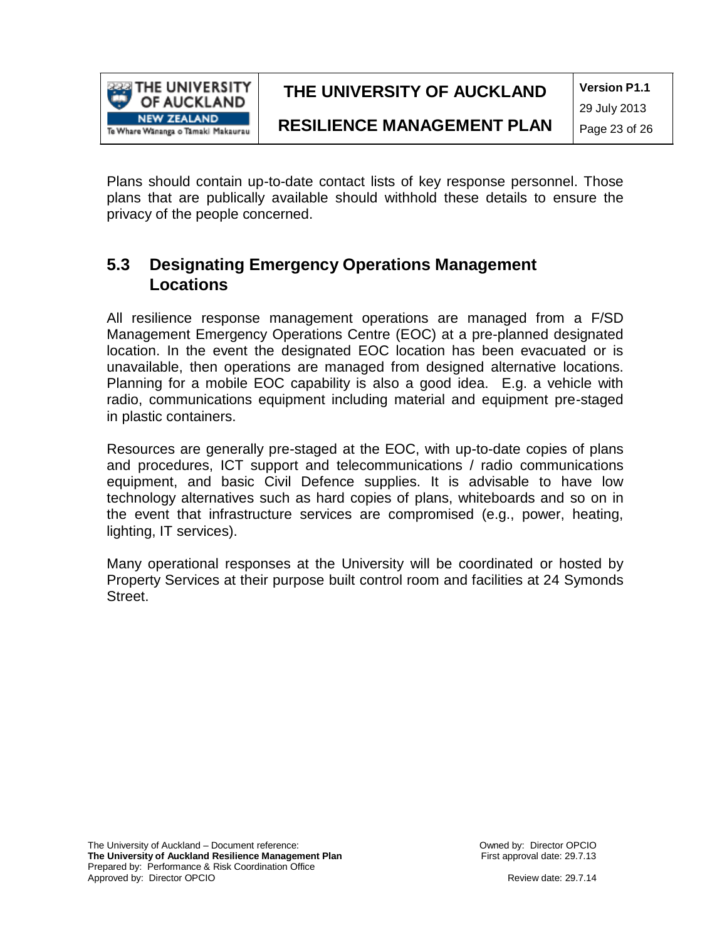

**Version P1.1**

**RESILIENCE MANAGEMENT PLAN**

29 July 2013 Page 23 of 26

Plans should contain up-to-date contact lists of key response personnel. Those plans that are publically available should withhold these details to ensure the privacy of the people concerned.

### **5.3 Designating Emergency Operations Management Locations**

All resilience response management operations are managed from a F/SD Management Emergency Operations Centre (EOC) at a pre-planned designated location. In the event the designated EOC location has been evacuated or is unavailable, then operations are managed from designed alternative locations. Planning for a mobile EOC capability is also a good idea. E.g. a vehicle with radio, communications equipment including material and equipment pre-staged in plastic containers.

Resources are generally pre-staged at the EOC, with up-to-date copies of plans and procedures, ICT support and telecommunications / radio communications equipment, and basic Civil Defence supplies. It is advisable to have low technology alternatives such as hard copies of plans, whiteboards and so on in the event that infrastructure services are compromised (e.g., power, heating, lighting, IT services).

Many operational responses at the University will be coordinated or hosted by Property Services at their purpose built control room and facilities at 24 Symonds Street.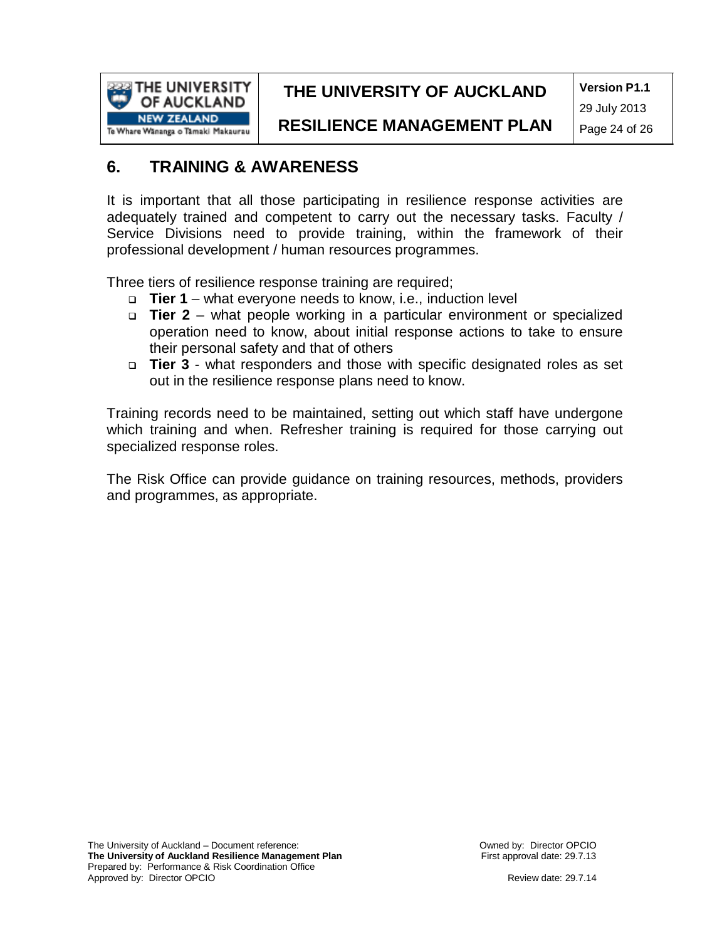

**Version P1.1** 29 July 2013

**RESILIENCE MANAGEMENT PLAN**

Page 24 of 26

### **6. TRAINING & AWARENESS**

It is important that all those participating in resilience response activities are adequately trained and competent to carry out the necessary tasks. Faculty / Service Divisions need to provide training, within the framework of their professional development / human resources programmes.

Three tiers of resilience response training are required;

- **Tier 1** what everyone needs to know, i.e., induction level
- **Tier 2** what people working in a particular environment or specialized operation need to know, about initial response actions to take to ensure their personal safety and that of others
- **Tier 3** what responders and those with specific designated roles as set out in the resilience response plans need to know.

Training records need to be maintained, setting out which staff have undergone which training and when. Refresher training is required for those carrying out specialized response roles.

The Risk Office can provide guidance on training resources, methods, providers and programmes, as appropriate.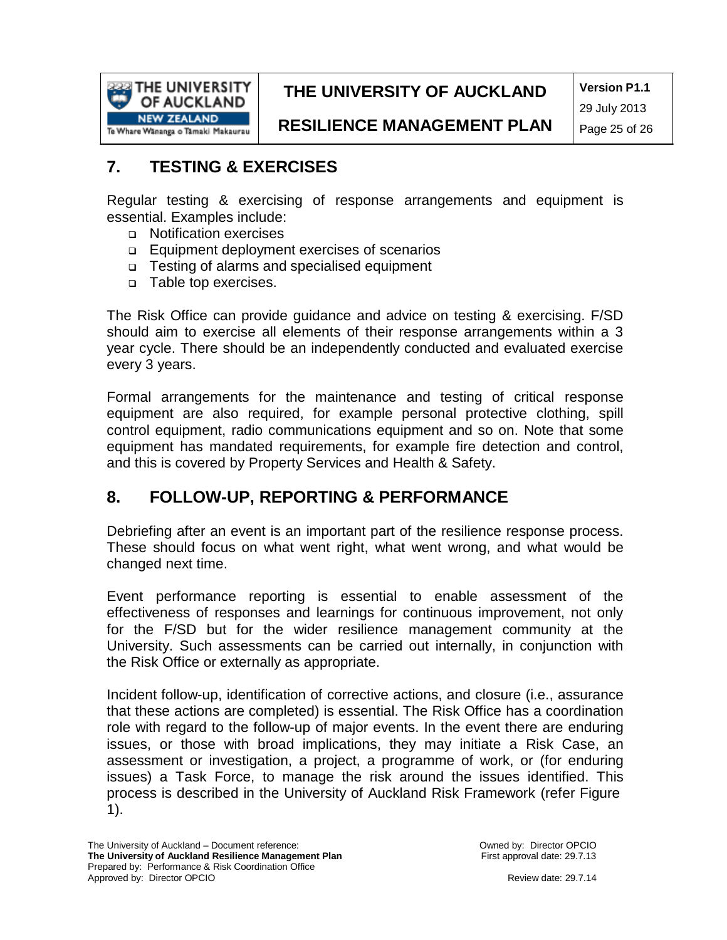

**Version P1.1** 29 July 2013

**RESILIENCE MANAGEMENT PLAN**

Page 25 of 26

## **7. TESTING & EXERCISES**

Regular testing & exercising of response arrangements and equipment is essential. Examples include:

- Notification exercises
- Equipment deployment exercises of scenarios
- Testing of alarms and specialised equipment
- □ Table top exercises.

The Risk Office can provide guidance and advice on testing & exercising. F/SD should aim to exercise all elements of their response arrangements within a 3 year cycle. There should be an independently conducted and evaluated exercise every 3 years.

Formal arrangements for the maintenance and testing of critical response equipment are also required, for example personal protective clothing, spill control equipment, radio communications equipment and so on. Note that some equipment has mandated requirements, for example fire detection and control, and this is covered by Property Services and Health & Safety.

### **8. FOLLOW-UP, REPORTING & PERFORMANCE**

Debriefing after an event is an important part of the resilience response process. These should focus on what went right, what went wrong, and what would be changed next time.

Event performance reporting is essential to enable assessment of the effectiveness of responses and learnings for continuous improvement, not only for the F/SD but for the wider resilience management community at the University. Such assessments can be carried out internally, in conjunction with the Risk Office or externally as appropriate.

Incident follow-up, identification of corrective actions, and closure (i.e., assurance that these actions are completed) is essential. The Risk Office has a coordination role with regard to the follow-up of major events. In the event there are enduring issues, or those with broad implications, they may initiate a Risk Case, an assessment or investigation, a project, a programme of work, or (for enduring issues) a Task Force, to manage the risk around the issues identified. This process is described in the University of Auckland Risk Framework (refer Figure 1).